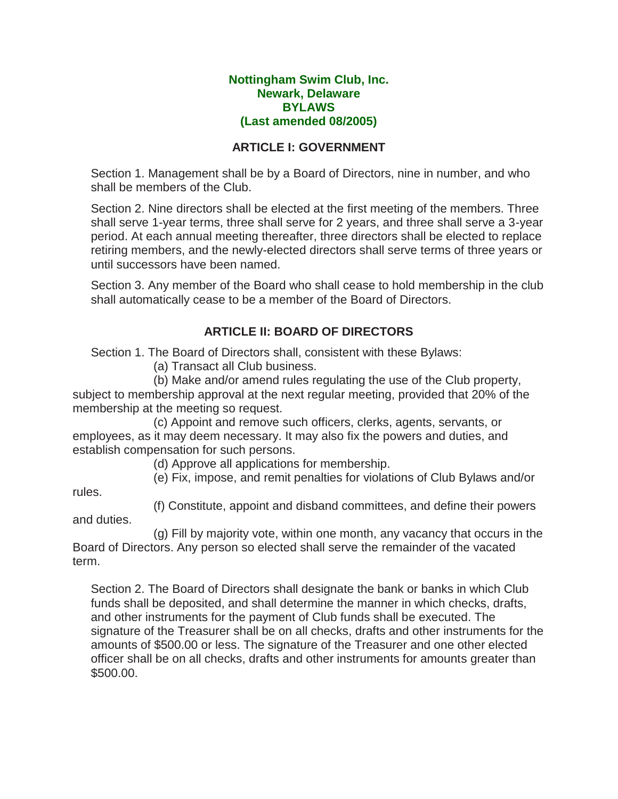#### **Nottingham Swim Club, Inc. Newark, Delaware BYLAWS (Last amended 08/2005)**

### **ARTICLE I: GOVERNMENT**

Section 1. Management shall be by a Board of Directors, nine in number, and who shall be members of the Club.

Section 2. Nine directors shall be elected at the first meeting of the members. Three shall serve 1-year terms, three shall serve for 2 years, and three shall serve a 3-year period. At each annual meeting thereafter, three directors shall be elected to replace retiring members, and the newly-elected directors shall serve terms of three years or until successors have been named.

Section 3. Any member of the Board who shall cease to hold membership in the club shall automatically cease to be a member of the Board of Directors.

# **ARTICLE II: BOARD OF DIRECTORS**

Section 1. The Board of Directors shall, consistent with these Bylaws:

(a) Transact all Club business.

 (b) Make and/or amend rules regulating the use of the Club property, subject to membership approval at the next regular meeting, provided that 20% of the membership at the meeting so request.

 (c) Appoint and remove such officers, clerks, agents, servants, or employees, as it may deem necessary. It may also fix the powers and duties, and establish compensation for such persons.

(d) Approve all applications for membership.

(e) Fix, impose, and remit penalties for violations of Club Bylaws and/or

rules.

(f) Constitute, appoint and disband committees, and define their powers

and duties.

 (g) Fill by majority vote, within one month, any vacancy that occurs in the Board of Directors. Any person so elected shall serve the remainder of the vacated term.

Section 2. The Board of Directors shall designate the bank or banks in which Club funds shall be deposited, and shall determine the manner in which checks, drafts, and other instruments for the payment of Club funds shall be executed. The signature of the Treasurer shall be on all checks, drafts and other instruments for the amounts of \$500.00 or less. The signature of the Treasurer and one other elected officer shall be on all checks, drafts and other instruments for amounts greater than \$500.00.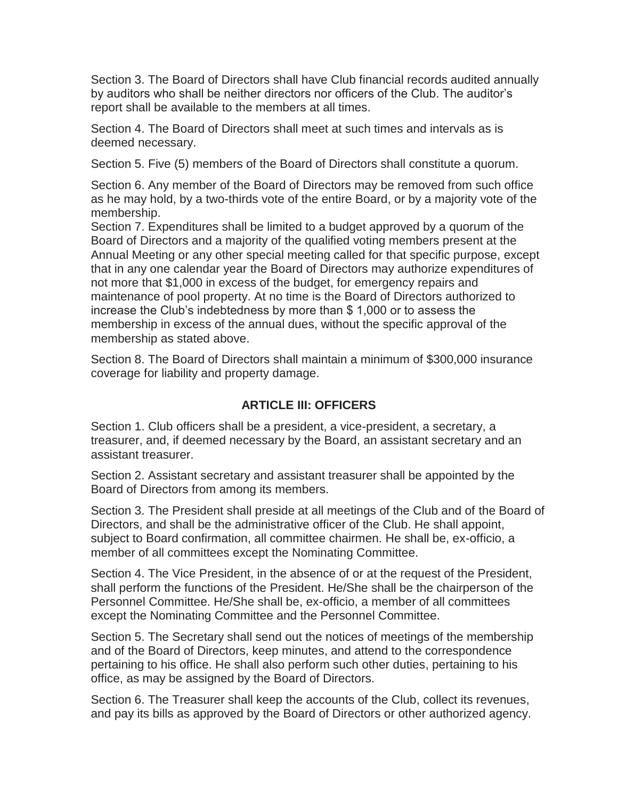Section 3. The Board of Directors shall have Club financial records audited annually by auditors who shall be neither directors nor officers of the Club. The auditor's report shall be available to the members at all times.

Section 4. The Board of Directors shall meet at such times and intervals as is deemed necessary.

Section 5. Five (5) members of the Board of Directors shall constitute a quorum.

Section 6. Any member of the Board of Directors may be removed from such office as he may hold, by a two-thirds vote of the entire Board, or by a majority vote of the membership.

Section 7. Expenditures shall be limited to a budget approved by a quorum of the Board of Directors and a majority of the qualified voting members present at the Annual Meeting or any other special meeting called for that specific purpose, except that in any one calendar year the Board of Directors may authorize expenditures of not more that \$1,000 in excess of the budget, for emergency repairs and maintenance of pool property. At no time is the Board of Directors authorized to increase the Club's indebtedness by more than \$ 1,000 or to assess the membership in excess of the annual dues, without the specific approval of the membership as stated above.

Section 8. The Board of Directors shall maintain a minimum of \$300,000 insurance coverage for liability and property damage.

# **ARTICLE III: OFFICERS**

Section 1. Club officers shall be a president, a vice-president, a secretary, a treasurer, and, if deemed necessary by the Board, an assistant secretary and an assistant treasurer.

Section 2. Assistant secretary and assistant treasurer shall be appointed by the Board of Directors from among its members.

Section 3. The President shall preside at all meetings of the Club and of the Board of Directors, and shall be the administrative officer of the Club. He shall appoint, subject to Board confirmation, all committee chairmen. He shall be, ex-officio, a member of all committees except the Nominating Committee.

Section 4. The Vice President, in the absence of or at the request of the President, shall perform the functions of the President. He/She shall be the chairperson of the Personnel Committee. He/She shall be, ex-officio, a member of all committees except the Nominating Committee and the Personnel Committee.

Section 5. The Secretary shall send out the notices of meetings of the membership and of the Board of Directors, keep minutes, and attend to the correspondence pertaining to his office. He shall also perform such other duties, pertaining to his office, as may be assigned by the Board of Directors.

Section 6. The Treasurer shall keep the accounts of the Club, collect its revenues, and pay its bills as approved by the Board of Directors or other authorized agency.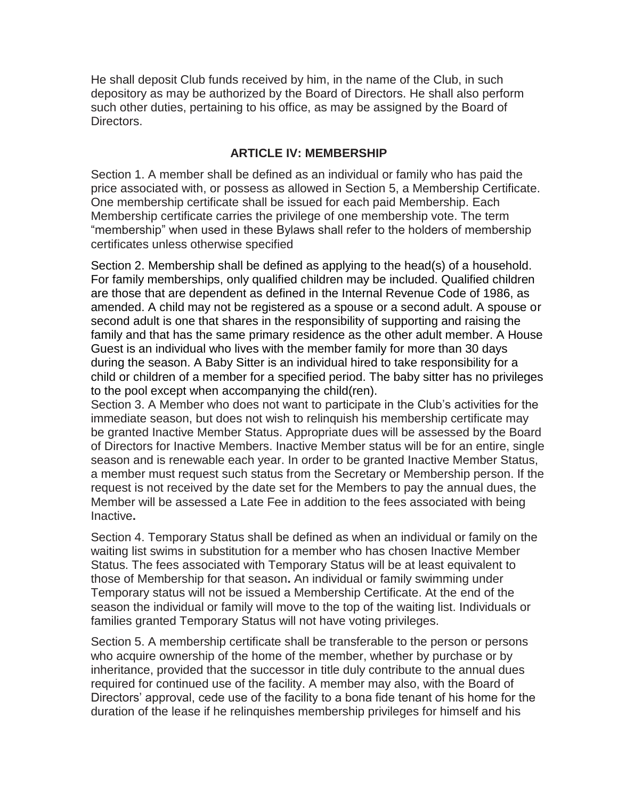He shall deposit Club funds received by him, in the name of the Club, in such depository as may be authorized by the Board of Directors. He shall also perform such other duties, pertaining to his office, as may be assigned by the Board of Directors.

### **ARTICLE IV: MEMBERSHIP**

Section 1. A member shall be defined as an individual or family who has paid the price associated with, or possess as allowed in Section 5, a Membership Certificate. One membership certificate shall be issued for each paid Membership. Each Membership certificate carries the privilege of one membership vote. The term "membership" when used in these Bylaws shall refer to the holders of membership certificates unless otherwise specified

Section 2. Membership shall be defined as applying to the head(s) of a household. For family memberships, only qualified children may be included. Qualified children are those that are dependent as defined in the Internal Revenue Code of 1986, as amended. A child may not be registered as a spouse or a second adult. A spouse or second adult is one that shares in the responsibility of supporting and raising the family and that has the same primary residence as the other adult member. A House Guest is an individual who lives with the member family for more than 30 days during the season. A Baby Sitter is an individual hired to take responsibility for a child or children of a member for a specified period. The baby sitter has no privileges to the pool except when accompanying the child(ren).

Section 3. A Member who does not want to participate in the Club's activities for the immediate season, but does not wish to relinquish his membership certificate may be granted Inactive Member Status. Appropriate dues will be assessed by the Board of Directors for Inactive Members. Inactive Member status will be for an entire, single season and is renewable each year. In order to be granted Inactive Member Status, a member must request such status from the Secretary or Membership person. If the request is not received by the date set for the Members to pay the annual dues, the Member will be assessed a Late Fee in addition to the fees associated with being Inactive**.**

Section 4. Temporary Status shall be defined as when an individual or family on the waiting list swims in substitution for a member who has chosen Inactive Member Status. The fees associated with Temporary Status will be at least equivalent to those of Membership for that season**.** An individual or family swimming under Temporary status will not be issued a Membership Certificate. At the end of the season the individual or family will move to the top of the waiting list. Individuals or families granted Temporary Status will not have voting privileges.

Section 5. A membership certificate shall be transferable to the person or persons who acquire ownership of the home of the member, whether by purchase or by inheritance, provided that the successor in title duly contribute to the annual dues required for continued use of the facility. A member may also, with the Board of Directors' approval, cede use of the facility to a bona fide tenant of his home for the duration of the lease if he relinquishes membership privileges for himself and his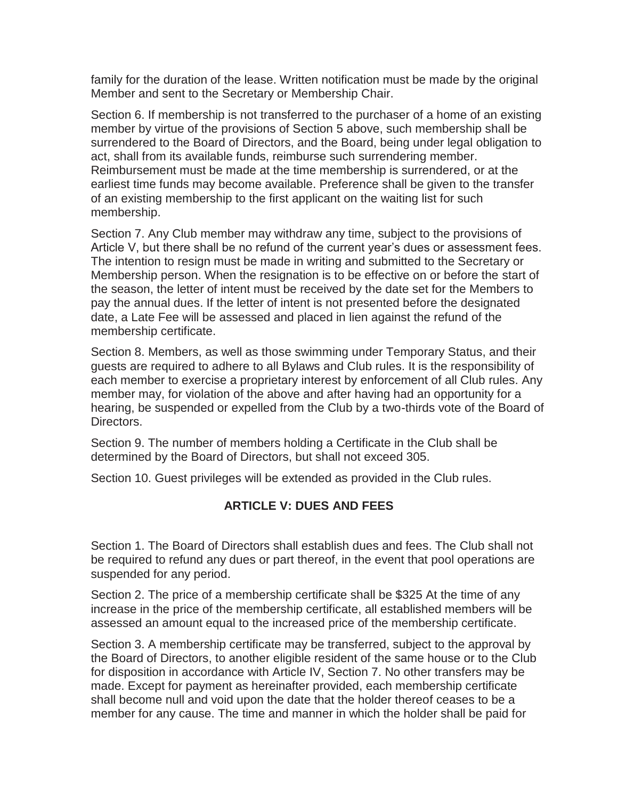family for the duration of the lease. Written notification must be made by the original Member and sent to the Secretary or Membership Chair.

Section 6. If membership is not transferred to the purchaser of a home of an existing member by virtue of the provisions of Section 5 above, such membership shall be surrendered to the Board of Directors, and the Board, being under legal obligation to act, shall from its available funds, reimburse such surrendering member. Reimbursement must be made at the time membership is surrendered, or at the earliest time funds may become available. Preference shall be given to the transfer of an existing membership to the first applicant on the waiting list for such membership.

Section 7. Any Club member may withdraw any time, subject to the provisions of Article V, but there shall be no refund of the current year's dues or assessment fees. The intention to resign must be made in writing and submitted to the Secretary or Membership person. When the resignation is to be effective on or before the start of the season, the letter of intent must be received by the date set for the Members to pay the annual dues. If the letter of intent is not presented before the designated date, a Late Fee will be assessed and placed in lien against the refund of the membership certificate.

Section 8. Members, as well as those swimming under Temporary Status, and their guests are required to adhere to all Bylaws and Club rules. It is the responsibility of each member to exercise a proprietary interest by enforcement of all Club rules. Any member may, for violation of the above and after having had an opportunity for a hearing, be suspended or expelled from the Club by a two-thirds vote of the Board of Directors.

Section 9. The number of members holding a Certificate in the Club shall be determined by the Board of Directors, but shall not exceed 305.

Section 10. Guest privileges will be extended as provided in the Club rules.

# **ARTICLE V: DUES AND FEES**

Section 1. The Board of Directors shall establish dues and fees. The Club shall not be required to refund any dues or part thereof, in the event that pool operations are suspended for any period.

Section 2. The price of a membership certificate shall be \$325 At the time of any increase in the price of the membership certificate, all established members will be assessed an amount equal to the increased price of the membership certificate.

Section 3. A membership certificate may be transferred, subject to the approval by the Board of Directors, to another eligible resident of the same house or to the Club for disposition in accordance with Article IV, Section 7. No other transfers may be made. Except for payment as hereinafter provided, each membership certificate shall become null and void upon the date that the holder thereof ceases to be a member for any cause. The time and manner in which the holder shall be paid for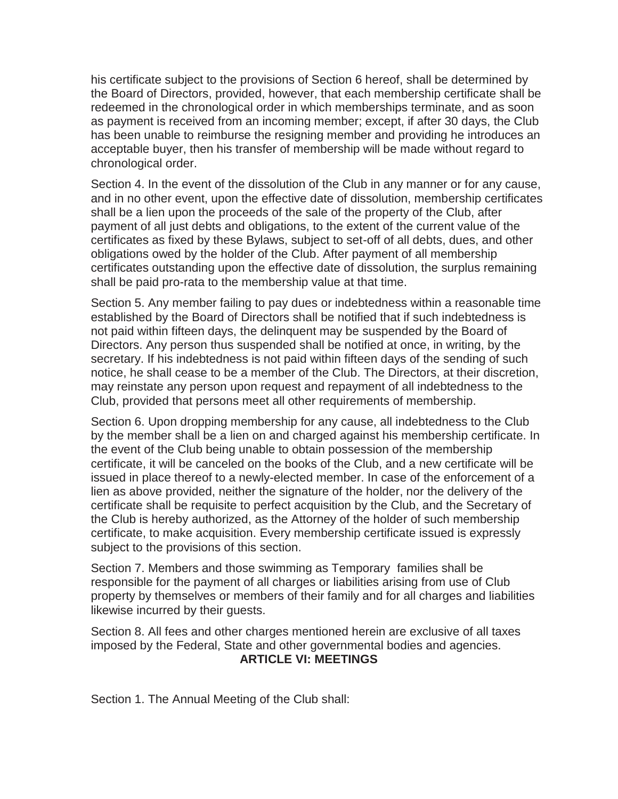his certificate subject to the provisions of Section 6 hereof, shall be determined by the Board of Directors, provided, however, that each membership certificate shall be redeemed in the chronological order in which memberships terminate, and as soon as payment is received from an incoming member; except, if after 30 days, the Club has been unable to reimburse the resigning member and providing he introduces an acceptable buyer, then his transfer of membership will be made without regard to chronological order.

Section 4. In the event of the dissolution of the Club in any manner or for any cause, and in no other event, upon the effective date of dissolution, membership certificates shall be a lien upon the proceeds of the sale of the property of the Club, after payment of all just debts and obligations, to the extent of the current value of the certificates as fixed by these Bylaws, subject to set-off of all debts, dues, and other obligations owed by the holder of the Club. After payment of all membership certificates outstanding upon the effective date of dissolution, the surplus remaining shall be paid pro-rata to the membership value at that time.

Section 5. Any member failing to pay dues or indebtedness within a reasonable time established by the Board of Directors shall be notified that if such indebtedness is not paid within fifteen days, the delinquent may be suspended by the Board of Directors. Any person thus suspended shall be notified at once, in writing, by the secretary. If his indebtedness is not paid within fifteen days of the sending of such notice, he shall cease to be a member of the Club. The Directors, at their discretion, may reinstate any person upon request and repayment of all indebtedness to the Club, provided that persons meet all other requirements of membership.

Section 6. Upon dropping membership for any cause, all indebtedness to the Club by the member shall be a lien on and charged against his membership certificate. In the event of the Club being unable to obtain possession of the membership certificate, it will be canceled on the books of the Club, and a new certificate will be issued in place thereof to a newly-elected member. In case of the enforcement of a lien as above provided, neither the signature of the holder, nor the delivery of the certificate shall be requisite to perfect acquisition by the Club, and the Secretary of the Club is hereby authorized, as the Attorney of the holder of such membership certificate, to make acquisition. Every membership certificate issued is expressly subject to the provisions of this section.

Section 7. Members and those swimming as Temporary families shall be responsible for the payment of all charges or liabilities arising from use of Club property by themselves or members of their family and for all charges and liabilities likewise incurred by their guests.

Section 8. All fees and other charges mentioned herein are exclusive of all taxes imposed by the Federal, State and other governmental bodies and agencies. **ARTICLE VI: MEETINGS**

Section 1. The Annual Meeting of the Club shall: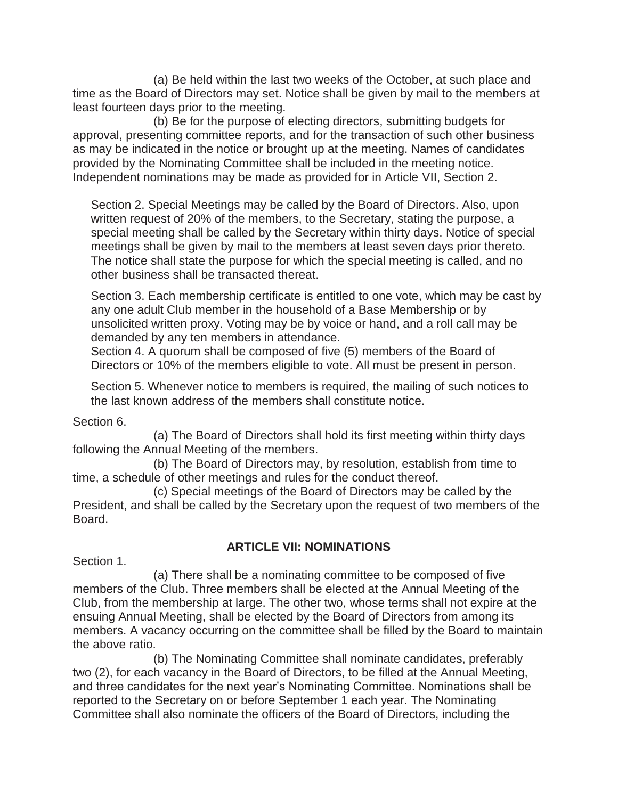(a) Be held within the last two weeks of the October, at such place and time as the Board of Directors may set. Notice shall be given by mail to the members at least fourteen days prior to the meeting.

 (b) Be for the purpose of electing directors, submitting budgets for approval, presenting committee reports, and for the transaction of such other business as may be indicated in the notice or brought up at the meeting. Names of candidates provided by the Nominating Committee shall be included in the meeting notice. Independent nominations may be made as provided for in Article VII, Section 2.

Section 2. Special Meetings may be called by the Board of Directors. Also, upon written request of 20% of the members, to the Secretary, stating the purpose, a special meeting shall be called by the Secretary within thirty days. Notice of special meetings shall be given by mail to the members at least seven days prior thereto. The notice shall state the purpose for which the special meeting is called, and no other business shall be transacted thereat.

Section 3. Each membership certificate is entitled to one vote, which may be cast by any one adult Club member in the household of a Base Membership or by unsolicited written proxy. Voting may be by voice or hand, and a roll call may be demanded by any ten members in attendance.

Section 4. A quorum shall be composed of five (5) members of the Board of Directors or 10% of the members eligible to vote. All must be present in person.

Section 5. Whenever notice to members is required, the mailing of such notices to the last known address of the members shall constitute notice.

Section 6.

 (a) The Board of Directors shall hold its first meeting within thirty days following the Annual Meeting of the members.

 (b) The Board of Directors may, by resolution, establish from time to time, a schedule of other meetings and rules for the conduct thereof.

 (c) Special meetings of the Board of Directors may be called by the President, and shall be called by the Secretary upon the request of two members of the Board.

# **ARTICLE VII: NOMINATIONS**

Section 1.

 (a) There shall be a nominating committee to be composed of five members of the Club. Three members shall be elected at the Annual Meeting of the Club, from the membership at large. The other two, whose terms shall not expire at the ensuing Annual Meeting, shall be elected by the Board of Directors from among its members. A vacancy occurring on the committee shall be filled by the Board to maintain the above ratio.

 (b) The Nominating Committee shall nominate candidates, preferably two (2), for each vacancy in the Board of Directors, to be filled at the Annual Meeting, and three candidates for the next year's Nominating Committee. Nominations shall be reported to the Secretary on or before September 1 each year. The Nominating Committee shall also nominate the officers of the Board of Directors, including the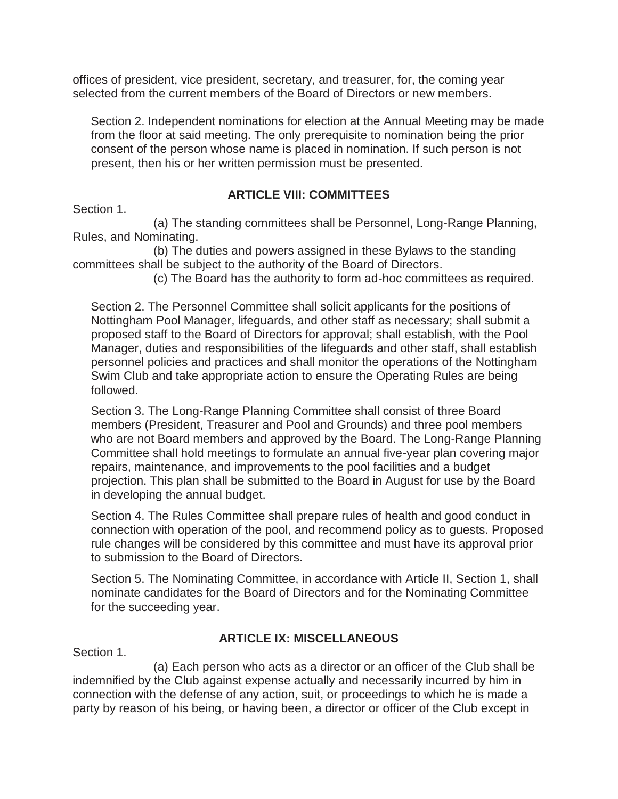offices of president, vice president, secretary, and treasurer, for, the coming year selected from the current members of the Board of Directors or new members.

Section 2. Independent nominations for election at the Annual Meeting may be made from the floor at said meeting. The only prerequisite to nomination being the prior consent of the person whose name is placed in nomination. If such person is not present, then his or her written permission must be presented.

### **ARTICLE VIII: COMMITTEES**

Section 1.

 (a) The standing committees shall be Personnel, Long-Range Planning, Rules, and Nominating.

 (b) The duties and powers assigned in these Bylaws to the standing committees shall be subject to the authority of the Board of Directors.

(c) The Board has the authority to form ad-hoc committees as required.

Section 2. The Personnel Committee shall solicit applicants for the positions of Nottingham Pool Manager, lifeguards, and other staff as necessary; shall submit a proposed staff to the Board of Directors for approval; shall establish, with the Pool Manager, duties and responsibilities of the lifeguards and other staff, shall establish personnel policies and practices and shall monitor the operations of the Nottingham Swim Club and take appropriate action to ensure the Operating Rules are being followed.

Section 3. The Long-Range Planning Committee shall consist of three Board members (President, Treasurer and Pool and Grounds) and three pool members who are not Board members and approved by the Board. The Long-Range Planning Committee shall hold meetings to formulate an annual five-year plan covering major repairs, maintenance, and improvements to the pool facilities and a budget projection. This plan shall be submitted to the Board in August for use by the Board in developing the annual budget.

Section 4. The Rules Committee shall prepare rules of health and good conduct in connection with operation of the pool, and recommend policy as to guests. Proposed rule changes will be considered by this committee and must have its approval prior to submission to the Board of Directors.

Section 5. The Nominating Committee, in accordance with Article II, Section 1, shall nominate candidates for the Board of Directors and for the Nominating Committee for the succeeding year.

#### **ARTICLE IX: MISCELLANEOUS**

Section 1.

 (a) Each person who acts as a director or an officer of the Club shall be indemnified by the Club against expense actually and necessarily incurred by him in connection with the defense of any action, suit, or proceedings to which he is made a party by reason of his being, or having been, a director or officer of the Club except in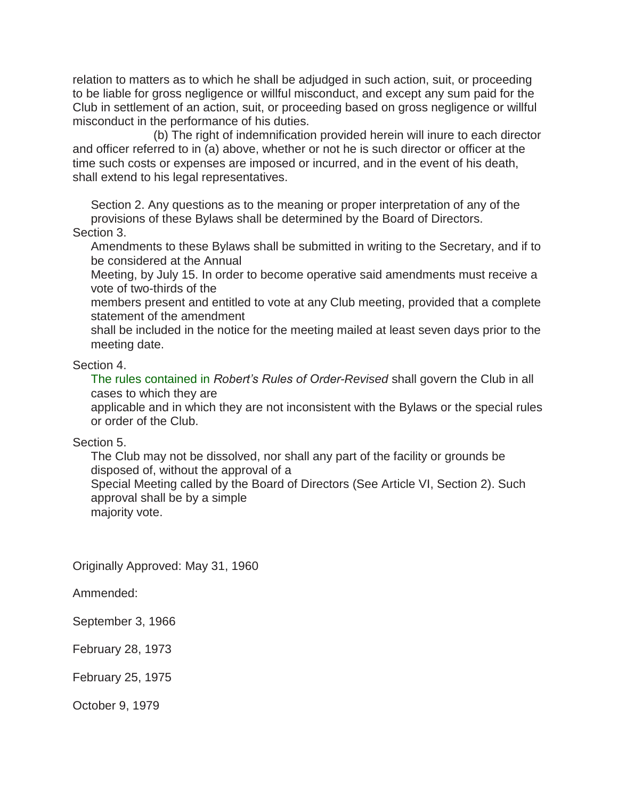relation to matters as to which he shall be adjudged in such action, suit, or proceeding to be liable for gross negligence or willful misconduct, and except any sum paid for the Club in settlement of an action, suit, or proceeding based on gross negligence or willful misconduct in the performance of his duties.

 (b) The right of indemnification provided herein will inure to each director and officer referred to in (a) above, whether or not he is such director or officer at the time such costs or expenses are imposed or incurred, and in the event of his death, shall extend to his legal representatives.

Section 2. Any questions as to the meaning or proper interpretation of any of the provisions of these Bylaws shall be determined by the Board of Directors. Section 3.

Amendments to these Bylaws shall be submitted in writing to the Secretary, and if to be considered at the Annual

Meeting, by July 15. In order to become operative said amendments must receive a vote of two-thirds of the

members present and entitled to vote at any Club meeting, provided that a complete statement of the amendment

shall be included in the notice for the meeting mailed at least seven days prior to the meeting date.

### Section 4.

The rules contained in *Robert's Rules of Order-Revised* shall govern the Club in all cases to which they are

applicable and in which they are not inconsistent with the Bylaws or the special rules or order of the Club.

#### Section 5.

The Club may not be dissolved, nor shall any part of the facility or grounds be disposed of, without the approval of a Special Meeting called by the Board of Directors (See Article VI, Section 2). Such approval shall be by a simple majority vote.

Originally Approved: May 31, 1960

Ammended:

September 3, 1966

February 28, 1973

February 25, 1975

October 9, 1979